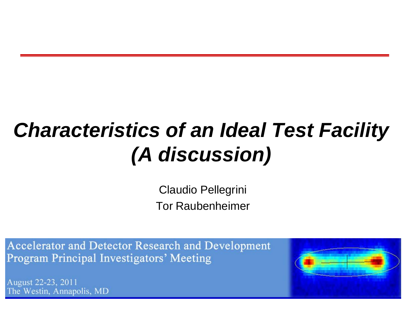#### *Characteristics of an Ideal Test Facility (A discussion)*

Claudio Pellegrini Tor Raubenheimer

Accelerator and Detector Research and Development **Program Principal Investigators' Meeting** 

August 22-23, 2011 The Westin, Annapolis, MD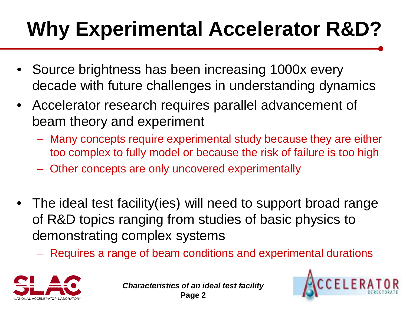# **Why Experimental Accelerator R&D?**

- Source brightness has been increasing 1000x every decade with future challenges in understanding dynamics
- Accelerator research requires parallel advancement of beam theory and experiment
	- Many concepts require experimental study because they are either too complex to fully model or because the risk of failure is too high
	- Other concepts are only uncovered experimentally
- The ideal test facility (ies) will need to support broad range of R&D topics ranging from studies of basic physics to demonstrating complex systems
	- Requires a range of beam conditions and experimental durations





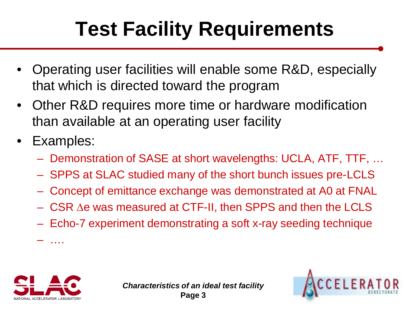# **Test Facility Requirements**

- Operating user facilities will enable some R&D, especially that which is directed toward the program
- Other R&D requires more time or hardware modification than available at an operating user facility
- Examples:
	- Demonstration of SASE at short wavelengths: UCLA, ATF, TTF, …
	- SPPS at SLAC studied many of the short bunch issues pre-LCLS
	- Concept of emittance exchange was demonstrated at A0 at FNAL
	- $-$  CSR  $\Delta e$  was measured at CTF-II, then SPPS and then the LCLS
	- Echo-7 experiment demonstrating a soft x-ray seeding technique



– ….



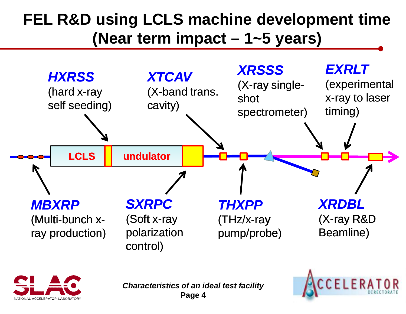#### **FEL R&D using LCLS machine development time (Near term impact – 1~5 years)**





*Characteristics of an ideal test facility* **Page 4**

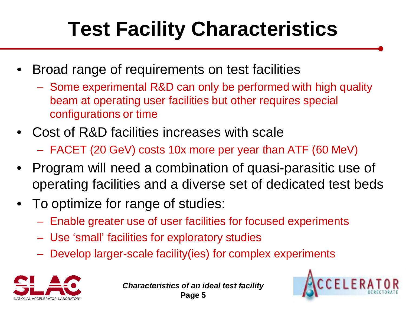# **Test Facility Characteristics**

- Broad range of requirements on test facilities
	- Some experimental R&D can only be performed with high quality beam at operating user facilities but other requires special configurations or time
- Cost of R&D facilities increases with scale – FACET (20 GeV) costs 10x more per year than ATF (60 MeV)
- Program will need a combination of quasi-parasitic use of operating facilities and a diverse set of dedicated test beds
- To optimize for range of studies:
	- Enable greater use of user facilities for focused experiments
	- Use 'small' facilities for exploratory studies
	- Develop larger-scale facility(ies) for complex experiments



*Characteristics of an ideal test facility* **Page 5**

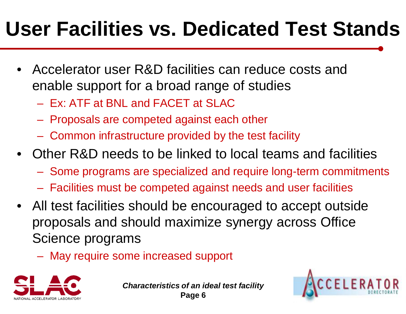#### **User Facilities vs. Dedicated Test Stands**

- Accelerator user R&D facilities can reduce costs and enable support for a broad range of studies
	- Ex: ATF at BNL and FACET at SLAC
	- Proposals are competed against each other
	- Common infrastructure provided by the test facility
- Other R&D needs to be linked to local teams and facilities
	- Some programs are specialized and require long-term commitments
	- Facilities must be competed against needs and user facilities
- All test facilities should be encouraged to accept outside proposals and should maximize synergy across Office Science programs
	- May require some increased support



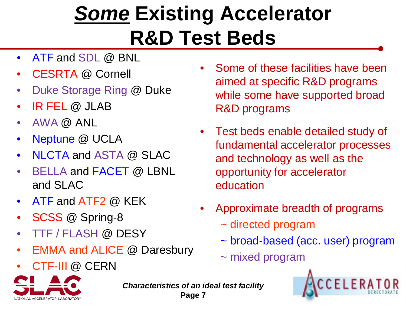#### *Some* **Existing Accelerator R&D Test Beds**

- ATF and SDL @ BNL
- CESRTA @ Cornell
- Duke Storage Ring @ Duke
- IR FEL @ JLAB
- AWA @ ANL
- Neptune @ UCLA
- NLCTA and ASTA @ SLAC
- BELLA and FACET @ LBNL and SLAC
- ATF and ATF2 @ KEK
- SCSS @ Spring-8
- TTF / FLASH @ DESY
- EMMA and ALICE @ Daresbury
- CTF-III @ CERN



*Characteristics of an ideal test facility* **Page 7**

- Some of these facilities have been aimed at specific R&D programs while some have supported broad R&D programs
- Test beds enable detailed study of fundamental accelerator processes and technology as well as the opportunity for accelerator education
- Approximate breadth of programs
	- ~ directed program
	- ~ broad-based (acc. user) program
	- ~ mixed program